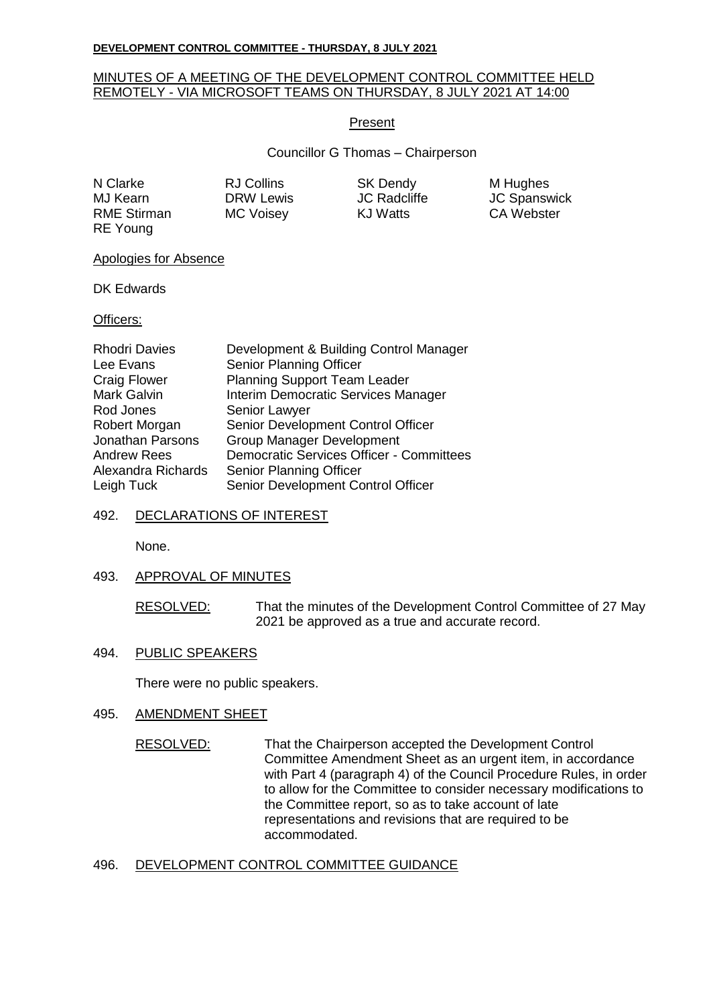#### **DEVELOPMENT CONTROL COMMITTEE - THURSDAY, 8 JULY 2021**

# MINUTES OF A MEETING OF THE DEVELOPMENT CONTROL COMMITTEE HELD REMOTELY - VIA MICROSOFT TEAMS ON THURSDAY, 8 JULY 2021 AT 14:00

# Present

Councillor G Thomas – Chairperson

N Clarke **RJ Collins** SK Dendy M Hughes MJ Kearn **DRW Lewis** JC Radcliffe JC Spanswick RME Stirman MC Voisey KJ Watts CA Webster RE Young

Apologies for Absence

DK Edwards

Officers:

| <b>Rhodri Davies</b>    | Development & Building Control Manager          |
|-------------------------|-------------------------------------------------|
| Lee Evans               | Senior Planning Officer                         |
| <b>Craig Flower</b>     | <b>Planning Support Team Leader</b>             |
| Mark Galvin             | Interim Democratic Services Manager             |
| Rod Jones               | Senior Lawyer                                   |
| Robert Morgan           | Senior Development Control Officer              |
| <b>Jonathan Parsons</b> | <b>Group Manager Development</b>                |
| <b>Andrew Rees</b>      | <b>Democratic Services Officer - Committees</b> |
| Alexandra Richards      | Senior Planning Officer                         |
| Leigh Tuck              | Senior Development Control Officer              |

# 492. DECLARATIONS OF INTEREST

None.

# 493. APPROVAL OF MINUTES

RESOLVED: That the minutes of the Development Control Committee of 27 May 2021 be approved as a true and accurate record.

# 494. PUBLIC SPEAKERS

There were no public speakers.

# 495. AMENDMENT SHEET

RESOLVED: That the Chairperson accepted the Development Control Committee Amendment Sheet as an urgent item, in accordance with Part 4 (paragraph 4) of the Council Procedure Rules, in order to allow for the Committee to consider necessary modifications to the Committee report, so as to take account of late representations and revisions that are required to be accommodated.

# 496. DEVELOPMENT CONTROL COMMITTEE GUIDANCE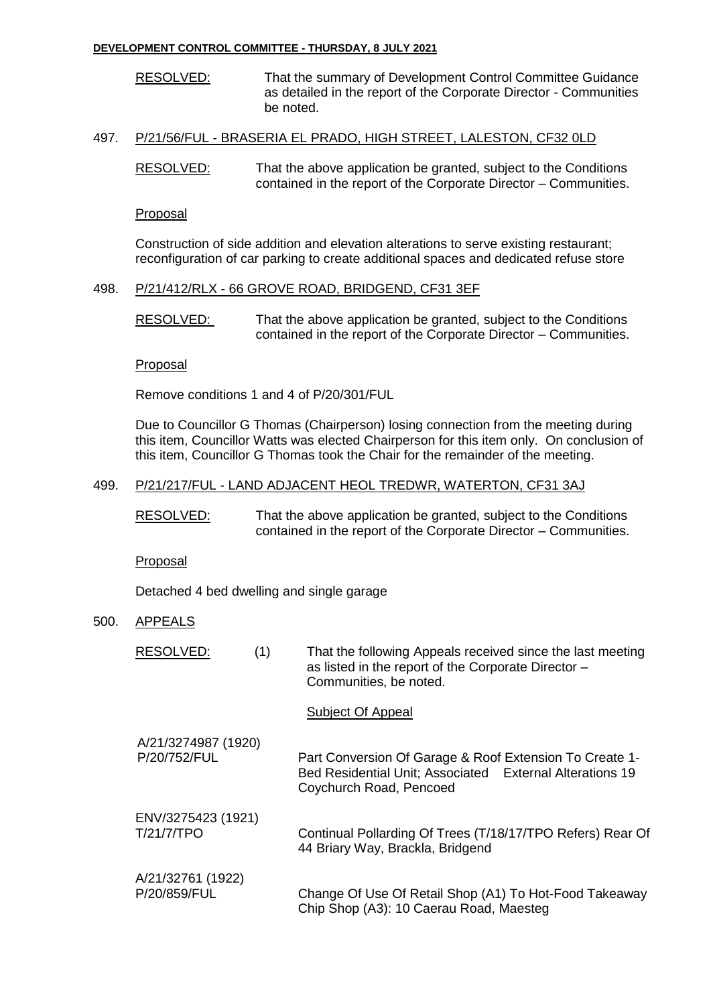#### **DEVELOPMENT CONTROL COMMITTEE - THURSDAY, 8 JULY 2021**

RESOLVED: That the summary of Development Control Committee Guidance as detailed in the report of the Corporate Director - Communities be noted.

# 497. P/21/56/FUL - BRASERIA EL PRADO, HIGH STREET, LALESTON, CF32 0LD

RESOLVED: That the above application be granted, subject to the Conditions contained in the report of the Corporate Director – Communities.

# Proposal

Construction of side addition and elevation alterations to serve existing restaurant; reconfiguration of car parking to create additional spaces and dedicated refuse store

# 498. P/21/412/RLX - 66 GROVE ROAD, BRIDGEND, CF31 3EF

RESOLVED: That the above application be granted, subject to the Conditions contained in the report of the Corporate Director – Communities.

# Proposal

Remove conditions 1 and 4 of P/20/301/FUL

Due to Councillor G Thomas (Chairperson) losing connection from the meeting during this item, Councillor Watts was elected Chairperson for this item only. On conclusion of this item, Councillor G Thomas took the Chair for the remainder of the meeting.

# 499. P/21/217/FUL - LAND ADJACENT HEOL TREDWR, WATERTON, CF31 3AJ

RESOLVED: That the above application be granted, subject to the Conditions contained in the report of the Corporate Director – Communities.

Proposal

Detached 4 bed dwelling and single garage

# 500. APPEALS

| RESOLVED:<br>(1)                    | That the following Appeals received since the last meeting<br>as listed in the report of the Corporate Director -<br>Communities, be noted.    |
|-------------------------------------|------------------------------------------------------------------------------------------------------------------------------------------------|
|                                     | Subject Of Appeal                                                                                                                              |
| A/21/3274987 (1920)<br>P/20/752/FUL | Part Conversion Of Garage & Roof Extension To Create 1-<br>Bed Residential Unit; Associated External Alterations 19<br>Coychurch Road, Pencoed |
| ENV/3275423 (1921)<br>T/21/7/TPO    | Continual Pollarding Of Trees (T/18/17/TPO Refers) Rear Of<br>44 Briary Way, Brackla, Bridgend                                                 |
| A/21/32761 (1922)<br>P/20/859/FUL   | Change Of Use Of Retail Shop (A1) To Hot-Food Takeaway<br>Chip Shop (A3): 10 Caerau Road, Maesteg                                              |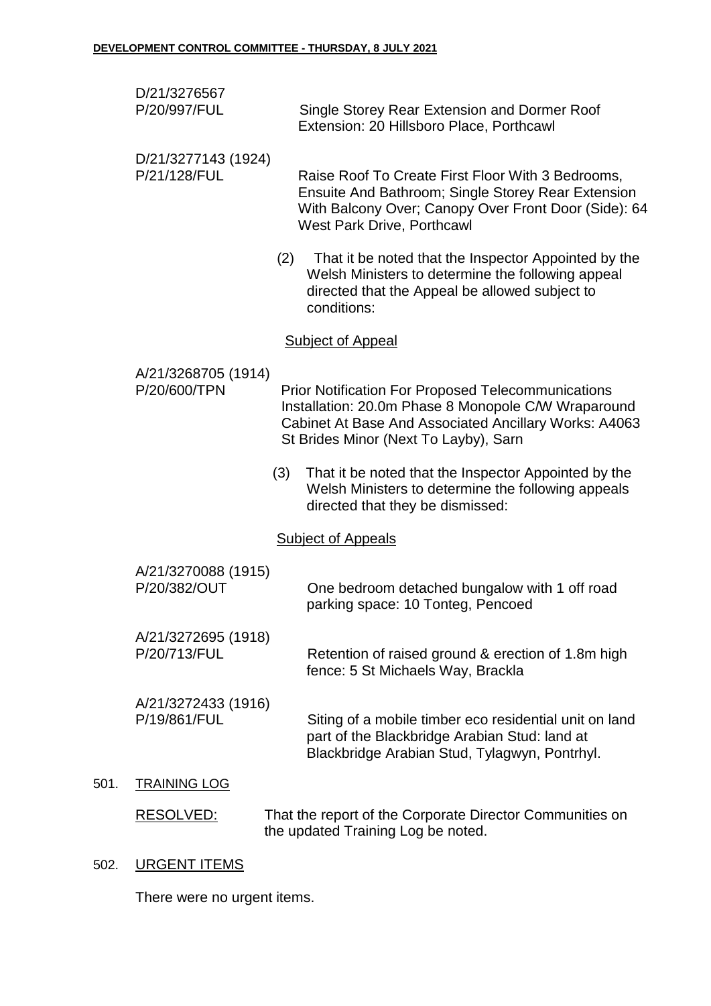| D/21/3276567 |                                              |
|--------------|----------------------------------------------|
| P/20/997/FUL | Single Storey Rear Extension and Dormer Roof |
|              | Extension: 20 Hillsboro Place, Porthcawl     |

- D/21/3277143 (1924) P/21/128/FUL Raise Roof To Create First Floor With 3 Bedrooms, Ensuite And Bathroom; Single Storey Rear Extension With Balcony Over; Canopy Over Front Door (Side): 64 West Park Drive, Porthcawl
	- (2) That it be noted that the Inspector Appointed by the Welsh Ministers to determine the following appeal directed that the Appeal be allowed subject to conditions:

# Subject of Appeal

- A/21/3268705 (1914) P/20/600/TPN Prior Notification For Proposed Telecommunications Installation: 20.0m Phase 8 Monopole C/W Wraparound Cabinet At Base And Associated Ancillary Works: A4063 St Brides Minor (Next To Layby), Sarn (3) That it be noted that the Inspector Appointed by the Welsh Ministers to determine the following appeals directed that they be dismissed: Subject of Appeals A/21/3270088 (1915) P/20/382/OUT One bedroom detached bungalow with 1 off road parking space: 10 Tonteg, Pencoed A/21/3272695 (1918) P/20/713/FUL Retention of raised ground & erection of 1.8m high fence: 5 St Michaels Way, Brackla A/21/3272433 (1916) P/19/861/FUL Siting of a mobile timber eco residential unit on land part of the Blackbridge Arabian Stud: land at Blackbridge Arabian Stud, Tylagwyn, Pontrhyl.
- 501. TRAINING LOG
	- RESOLVED: That the report of the Corporate Director Communities on the updated Training Log be noted.

# 502. URGENT ITEMS

There were no urgent items.